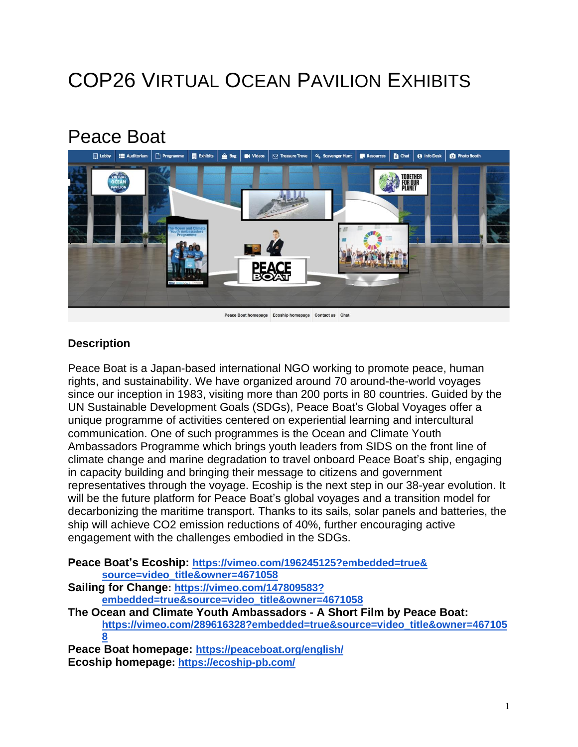# COP26 VIRTUAL OCEAN PAVILION EXHIBITS

## Peace Boat



#### **Description**

Peace Boat is a Japan-based international NGO working to promote peace, human rights, and sustainability. We have organized around 70 around-the-world voyages since our inception in 1983, visiting more than 200 ports in 80 countries. Guided by the UN Sustainable Development Goals (SDGs), Peace Boat's Global Voyages offer a unique programme of activities centered on experiential learning and intercultural communication. One of such programmes is the Ocean and Climate Youth Ambassadors Programme which brings youth leaders from SIDS on the front line of climate change and marine degradation to travel onboard Peace Boat's ship, engaging in capacity building and bringing their message to citizens and government representatives through the voyage. Ecoship is the next step in our 38-year evolution. It will be the future platform for Peace Boat's global voyages and a transition model for decarbonizing the maritime transport. Thanks to its sails, solar panels and batteries, the ship will achieve CO2 emission reductions of 40%, further encouraging active engagement with the challenges embodied in the SDGs.

|                                                                       | Peace Boat's Ecoship: https://vimeo.com/196245125?embedded=true&          |
|-----------------------------------------------------------------------|---------------------------------------------------------------------------|
|                                                                       | source=video_title&owner=4671058                                          |
|                                                                       | Sailing for Change: https://vimeo.com/147809583?                          |
|                                                                       | embedded=true&source=video title&owner=4671058                            |
| The Ocean and Climate Youth Ambassadors - A Short Film by Peace Boat: |                                                                           |
|                                                                       | https://vimeo.com/289616328?embedded=true&source=video_title&owner=467105 |
|                                                                       |                                                                           |
|                                                                       | Peace Boat homepage: https://peaceboat.org/english/                       |

**Ecoship homepage: <https://ecoship-pb.com/>**